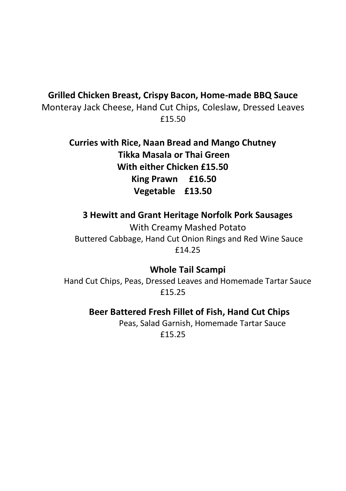### **Grilled Chicken Breast, Crispy Bacon, Home-made BBQ Sauce**

Monteray Jack Cheese, Hand Cut Chips, Coleslaw, Dressed Leaves £15.50

> **Curries with Rice, Naan Bread and Mango Chutney Tikka Masala or Thai Green With either Chicken £15.50 King Prawn £16.50 Vegetable £13.50**

#### **3 Hewitt and Grant Heritage Norfolk Pork Sausages**

With Creamy Mashed Potato Buttered Cabbage, Hand Cut Onion Rings and Red Wine Sauce £14.25

### **Whole Tail Scampi**

Hand Cut Chips, Peas, Dressed Leaves and Homemade Tartar Sauce £15.25

### **Beer Battered Fresh Fillet of Fish, Hand Cut Chips**

Peas, Salad Garnish, Homemade Tartar Sauce £15.25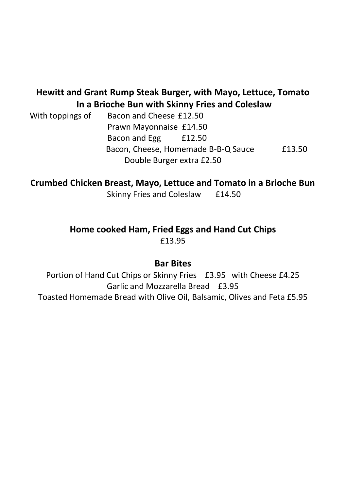## **Hewitt and Grant Rump Steak Burger, with Mayo, Lettuce, Tomato In a Brioche Bun with Skinny Fries and Coleslaw**

With toppings of Bacon and Cheese £12.50 Prawn Mayonnaise £14.50 Bacon and Egg £12.50 Bacon, Cheese, Homemade B-B-Q Sauce £13.50 Double Burger extra £2.50

**Crumbed Chicken Breast, Mayo, Lettuce and Tomato in a Brioche Bun** 

Skinny Fries and Coleslaw £14.50

### **Home cooked Ham, Fried Eggs and Hand Cut Chips** £13.95

### **Bar Bites**

Portion of Hand Cut Chips or Skinny Fries £3.95 with Cheese £4.25 Garlic and Mozzarella Bread £3.95 Toasted Homemade Bread with Olive Oil, Balsamic, Olives and Feta £5.95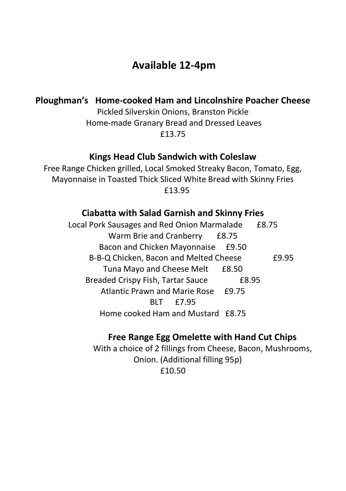# **Available 12-4pm**

### **Ploughman's Home-cooked Ham and Lincolnshire Poacher Cheese**

Pickled Silverskin Onions, Branston Pickle Home-made Granary Bread and Dressed Leaves £13.75

### **Kings Head Club Sandwich with Coleslaw**

Free Range Chicken grilled, Local Smoked Streaky Bacon, Tomato, Egg, Mayonnaise in Toasted Thick Sliced White Bread with Skinny Fries £13.95

### **Ciabatta with Salad Garnish and Skinny Fries**

Local Pork Sausages and Red Onion Marmalade £8.75 Warm Brie and Cranberry £8.75 Bacon and Chicken Mayonnaise £9.50 B-B-Q Chicken, Bacon and Melted Cheese £9.95 Tuna Mayo and Cheese Melt £8.50 Breaded Crispy Fish, Tartar Sauce £8.95 Atlantic Prawn and Marie Rose £9.75 BLT £7.95 Home cooked Ham and Mustard £8.75

### **Free Range Egg Omelette with Hand Cut Chips**

With a choice of 2 fillings from Cheese, Bacon, Mushrooms, Onion. (Additional filling 95p) £10.50